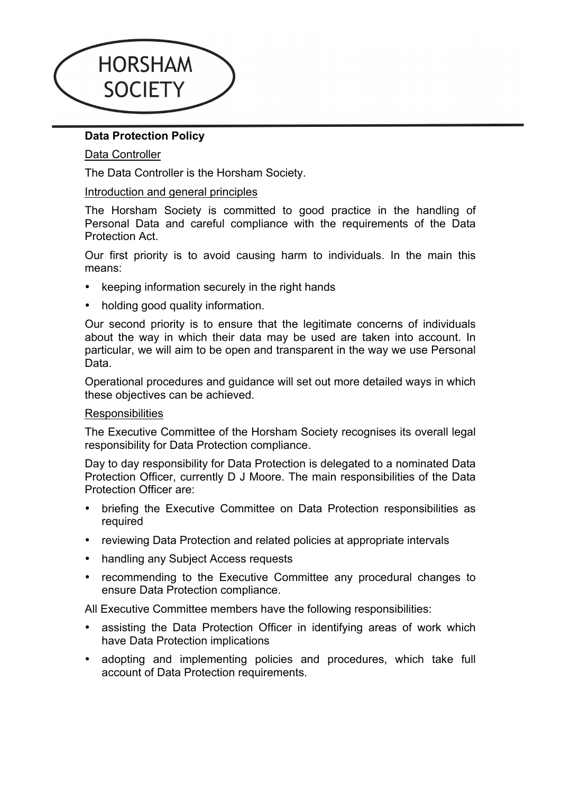

# **Data Protection Policy**

## Data Controller

The Data Controller is the Horsham Society.

### Introduction and general principles

The Horsham Society is committed to good practice in the handling of Personal Data and careful compliance with the requirements of the Data Protection Act.

Our first priority is to avoid causing harm to individuals. In the main this means:

- keeping information securely in the right hands
- holding good quality information.

Our second priority is to ensure that the legitimate concerns of individuals about the way in which their data may be used are taken into account. In particular, we will aim to be open and transparent in the way we use Personal Data.

Operational procedures and guidance will set out more detailed ways in which these objectives can be achieved.

#### **Responsibilities**

The Executive Committee of the Horsham Society recognises its overall legal responsibility for Data Protection compliance.

Day to day responsibility for Data Protection is delegated to a nominated Data Protection Officer, currently D J Moore. The main responsibilities of the Data Protection Officer are:

- briefing the Executive Committee on Data Protection responsibilities as required
- reviewing Data Protection and related policies at appropriate intervals
- handling any Subject Access requests
- recommending to the Executive Committee any procedural changes to ensure Data Protection compliance.

All Executive Committee members have the following responsibilities:

- assisting the Data Protection Officer in identifying areas of work which have Data Protection implications
- adopting and implementing policies and procedures, which take full account of Data Protection requirements.